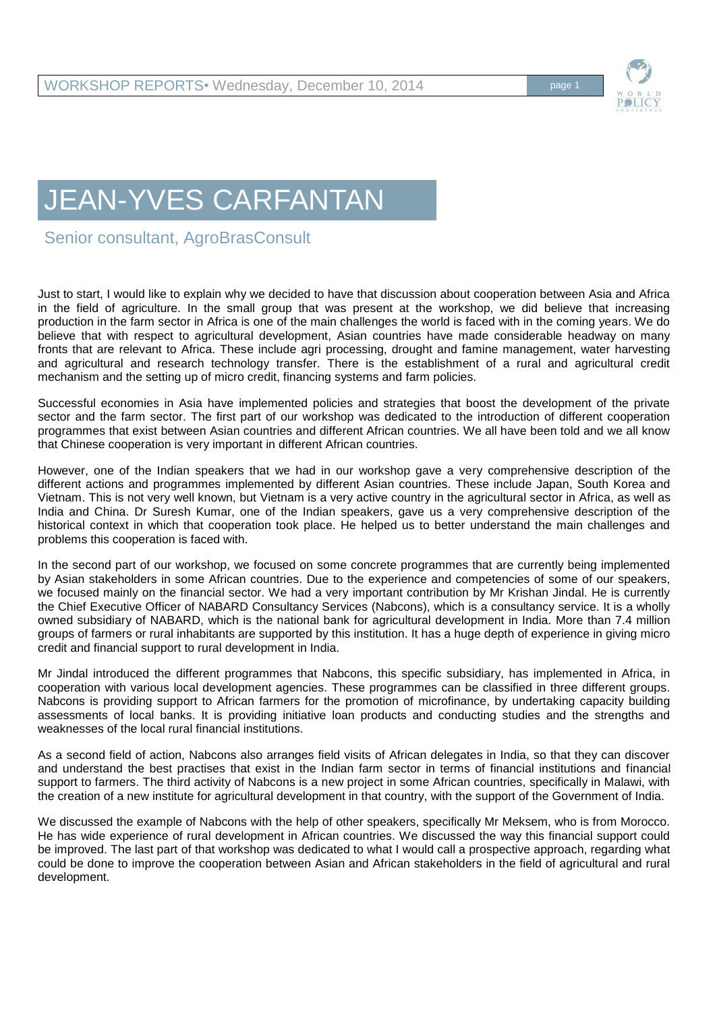## JEAN-YVES CARFANTAN

Senior consultant, AgroBrasConsult

Just to start, I would like to explain why we decided to have that discussion about cooperation between Asia and Africa in the field of agriculture. In the small group that was present at the workshop, we did believe that increasing production in the farm sector in Africa is one of the main challenges the world is faced with in the coming years. We do believe that with respect to agricultural development, Asian countries have made considerable headway on many fronts that are relevant to Africa. These include agri processing, drought and famine management, water harvesting and agricultural and research technology transfer. There is the establishment of a rural and agricultural credit mechanism and the setting up of micro credit, financing systems and farm policies.

Successful economies in Asia have implemented policies and strategies that boost the development of the private sector and the farm sector. The first part of our workshop was dedicated to the introduction of different cooperation programmes that exist between Asian countries and different African countries. We all have been told and we all know that Chinese cooperation is very important in different African countries.

However, one of the Indian speakers that we had in our workshop gave a very comprehensive description of the different actions and programmes implemented by different Asian countries. These include Japan, South Korea and Vietnam. This is not very well known, but Vietnam is a very active country in the agricultural sector in Africa, as well as India and China. Dr Suresh Kumar, one of the Indian speakers, gave us a very comprehensive description of the historical context in which that cooperation took place. He helped us to better understand the main challenges and problems this cooperation is faced with.

In the second part of our workshop, we focused on some concrete programmes that are currently being implemented by Asian stakeholders in some African countries. Due to the experience and competencies of some of our speakers, we focused mainly on the financial sector. We had a very important contribution by Mr Krishan Jindal. He is currently the Chief Executive Officer of NABARD Consultancy Services (Nabcons), which is a consultancy service. It is a wholly owned subsidiary of NABARD, which is the national bank for agricultural development in India. More than 7.4 million groups of farmers or rural inhabitants are supported by this institution. It has a huge depth of experience in giving micro credit and financial support to rural development in India.

Mr Jindal introduced the different programmes that Nabcons, this specific subsidiary, has implemented in Africa, in cooperation with various local development agencies. These programmes can be classified in three different groups. Nabcons is providing support to African farmers for the promotion of microfinance, by undertaking capacity building assessments of local banks. It is providing initiative loan products and conducting studies and the strengths and weaknesses of the local rural financial institutions.

As a second field of action, Nabcons also arranges field visits of African delegates in India, so that they can discover and understand the best practises that exist in the Indian farm sector in terms of financial institutions and financial support to farmers. The third activity of Nabcons is a new project in some African countries, specifically in Malawi, with the creation of a new institute for agricultural development in that country, with the support of the Government of India.

We discussed the example of Nabcons with the help of other speakers, specifically Mr Meksem, who is from Morocco. He has wide experience of rural development in African countries. We discussed the way this financial support could be improved. The last part of that workshop was dedicated to what I would call a prospective approach, regarding what could be done to improve the cooperation between Asian and African stakeholders in the field of agricultural and rural development.